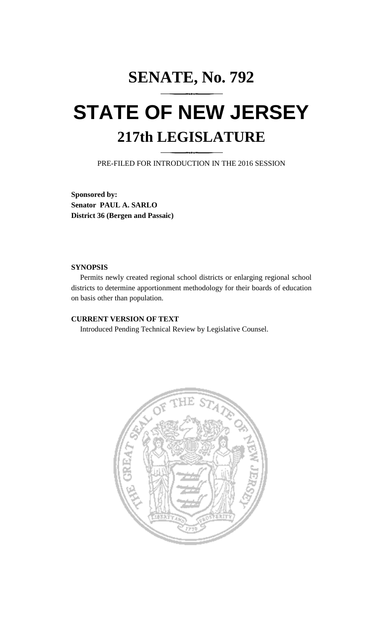# **SENATE, No. 792 STATE OF NEW JERSEY 217th LEGISLATURE**

PRE-FILED FOR INTRODUCTION IN THE 2016 SESSION

**Sponsored by: Senator PAUL A. SARLO District 36 (Bergen and Passaic)**

#### **SYNOPSIS**

Permits newly created regional school districts or enlarging regional school districts to determine apportionment methodology for their boards of education on basis other than population.

# **CURRENT VERSION OF TEXT**

Introduced Pending Technical Review by Legislative Counsel.

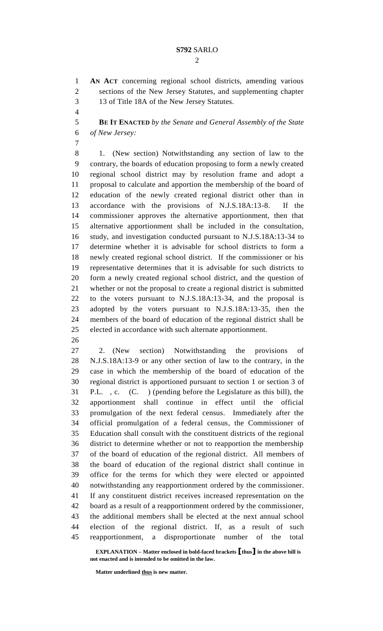**AN ACT** concerning regional school districts, amending various sections of the New Jersey Statutes, and supplementing chapter 13 of Title 18A of the New Jersey Statutes.

 **BE IT ENACTED** *by the Senate and General Assembly of the State of New Jersey:*

 1. (New section) Notwithstanding any section of law to the contrary, the boards of education proposing to form a newly created regional school district may by resolution frame and adopt a proposal to calculate and apportion the membership of the board of education of the newly created regional district other than in accordance with the provisions of N.J.S.18A:13-8. If the commissioner approves the alternative apportionment, then that alternative apportionment shall be included in the consultation, study, and investigation conducted pursuant to N.J.S.18A:13-34 to determine whether it is advisable for school districts to form a newly created regional school district. If the commissioner or his representative determines that it is advisable for such districts to form a newly created regional school district, and the question of whether or not the proposal to create a regional district is submitted to the voters pursuant to N.J.S.18A:13-34, and the proposal is adopted by the voters pursuant to N.J.S.18A:13-35, then the members of the board of education of the regional district shall be elected in accordance with such alternate apportionment.

 2. (New section) Notwithstanding the provisions of N.J.S.18A:13-9 or any other section of law to the contrary, in the case in which the membership of the board of education of the regional district is apportioned pursuant to section 1 or section 3 of P.L. , c. (C. ) (pending before the Legislature as this bill), the apportionment shall continue in effect until the official promulgation of the next federal census. Immediately after the official promulgation of a federal census, the Commissioner of Education shall consult with the constituent districts of the regional district to determine whether or not to reapportion the membership of the board of education of the regional district. All members of the board of education of the regional district shall continue in office for the terms for which they were elected or appointed notwithstanding any reapportionment ordered by the commissioner. If any constituent district receives increased representation on the board as a result of a reapportionment ordered by the commissioner, the additional members shall be elected at the next annual school election of the regional district. If, as a result of such reapportionment, a disproportionate number of the total

**EXPLANATION – Matter enclosed in bold-faced brackets [thus] in the above bill is not enacted and is intended to be omitted in the law.**

**Matter underlined thus is new matter.**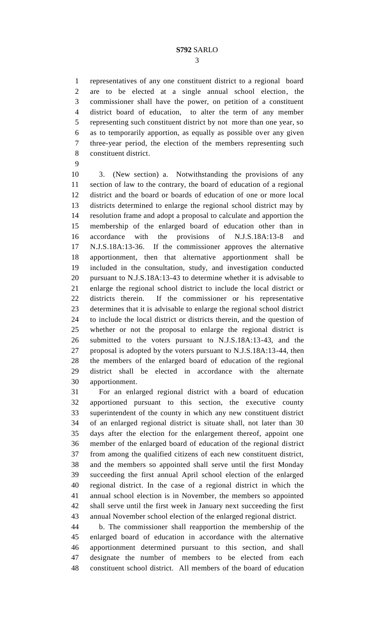representatives of any one constituent district to a regional board are to be elected at a single annual school election, the commissioner shall have the power, on petition of a constituent district board of education, to alter the term of any member representing such constituent district by not more than one year, so as to temporarily apportion, as equally as possible over any given three-year period, the election of the members representing such constituent district.

 3. (New section) a. Notwithstanding the provisions of any section of law to the contrary, the board of education of a regional district and the board or boards of education of one or more local districts determined to enlarge the regional school district may by resolution frame and adopt a proposal to calculate and apportion the membership of the enlarged board of education other than in accordance with the provisions of N.J.S.18A:13-8 and N.J.S.18A:13-36. If the commissioner approves the alternative apportionment, then that alternative apportionment shall be included in the consultation, study, and investigation conducted pursuant to N.J.S.18A:13-43 to determine whether it is advisable to enlarge the regional school district to include the local district or districts therein. If the commissioner or his representative determines that it is advisable to enlarge the regional school district to include the local district or districts therein, and the question of whether or not the proposal to enlarge the regional district is submitted to the voters pursuant to N.J.S.18A:13-43, and the proposal is adopted by the voters pursuant to N.J.S.18A:13-44, then the members of the enlarged board of education of the regional district shall be elected in accordance with the alternate apportionment.

 For an enlarged regional district with a board of education apportioned pursuant to this section, the executive county superintendent of the county in which any new constituent district of an enlarged regional district is situate shall, not later than 30 days after the election for the enlargement thereof, appoint one member of the enlarged board of education of the regional district from among the qualified citizens of each new constituent district, and the members so appointed shall serve until the first Monday succeeding the first annual April school election of the enlarged regional district. In the case of a regional district in which the annual school election is in November, the members so appointed shall serve until the first week in January next succeeding the first annual November school election of the enlarged regional district.

 b. The commissioner shall reapportion the membership of the enlarged board of education in accordance with the alternative apportionment determined pursuant to this section, and shall designate the number of members to be elected from each constituent school district. All members of the board of education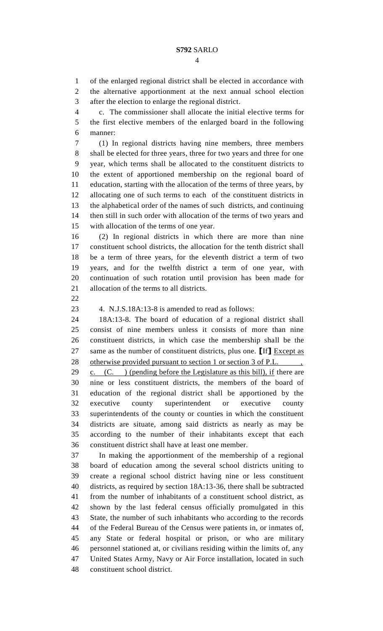of the enlarged regional district shall be elected in accordance with the alternative apportionment at the next annual school election

after the election to enlarge the regional district.

 c. The commissioner shall allocate the initial elective terms for the first elective members of the enlarged board in the following manner:

 (1) In regional districts having nine members, three members shall be elected for three years, three for two years and three for one year, which terms shall be allocated to the constituent districts to the extent of apportioned membership on the regional board of education, starting with the allocation of the terms of three years, by allocating one of such terms to each of the constituent districts in the alphabetical order of the names of such districts, and continuing then still in such order with allocation of the terms of two years and with allocation of the terms of one year.

 (2) In regional districts in which there are more than nine constituent school districts, the allocation for the tenth district shall be a term of three years, for the eleventh district a term of two years, and for the twelfth district a term of one year, with continuation of such rotation until provision has been made for allocation of the terms to all districts.

4. N.J.S.18A:13-8 is amended to read as follows:

 18A:13-8. The board of education of a regional district shall consist of nine members unless it consists of more than nine constituent districts, in which case the membership shall be the same as the number of constituent districts, plus one. **[**If**]** Except as 28 otherwise provided pursuant to section 1 or section 3 of P.L.  $\blacksquare$ , 29 c.  $(C. )$  (pending before the Legislature as this bill), if there are nine or less constituent districts, the members of the board of education of the regional district shall be apportioned by the executive county superintendent or executive county superintendents of the county or counties in which the constituent districts are situate, among said districts as nearly as may be according to the number of their inhabitants except that each constituent district shall have at least one member.

 In making the apportionment of the membership of a regional board of education among the several school districts uniting to create a regional school district having nine or less constituent districts, as required by section 18A:13-36, there shall be subtracted from the number of inhabitants of a constituent school district, as shown by the last federal census officially promulgated in this State, the number of such inhabitants who according to the records of the Federal Bureau of the Census were patients in, or inmates of, any State or federal hospital or prison, or who are military personnel stationed at, or civilians residing within the limits of, any United States Army, Navy or Air Force installation, located in such constituent school district.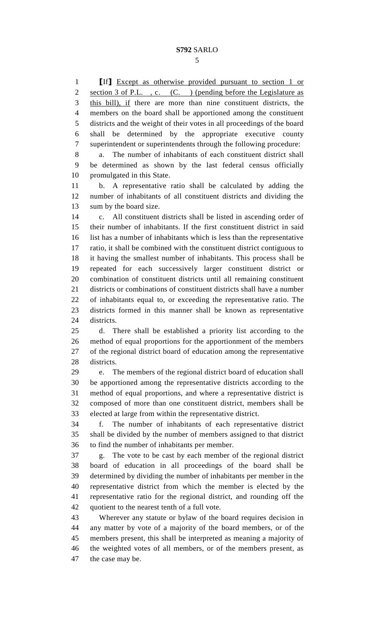**[**If**]** Except as otherwise provided pursuant to section 1 or 2 section 3 of P.L., c. (C.) (pending before the Legislature as this bill), if there are more than nine constituent districts, the members on the board shall be apportioned among the constituent districts and the weight of their votes in all proceedings of the board shall be determined by the appropriate executive county superintendent or superintendents through the following procedure: a. The number of inhabitants of each constituent district shall be determined as shown by the last federal census officially promulgated in this State. b. A representative ratio shall be calculated by adding the number of inhabitants of all constituent districts and dividing the sum by the board size. c. All constituent districts shall be listed in ascending order of their number of inhabitants. If the first constituent district in said list has a number of inhabitants which is less than the representative ratio, it shall be combined with the constituent district contiguous to it having the smallest number of inhabitants. This process shall be repeated for each successively larger constituent district or combination of constituent districts until all remaining constituent districts or combinations of constituent districts shall have a number of inhabitants equal to, or exceeding the representative ratio. The districts formed in this manner shall be known as representative districts. d. There shall be established a priority list according to the method of equal proportions for the apportionment of the members of the regional district board of education among the representative districts. e. The members of the regional district board of education shall be apportioned among the representative districts according to the method of equal proportions, and where a representative district is composed of more than one constituent district, members shall be elected at large from within the representative district. f. The number of inhabitants of each representative district shall be divided by the number of members assigned to that district to find the number of inhabitants per member. g. The vote to be cast by each member of the regional district board of education in all proceedings of the board shall be determined by dividing the number of inhabitants per member in the representative district from which the member is elected by the representative ratio for the regional district, and rounding off the quotient to the nearest tenth of a full vote. Wherever any statute or bylaw of the board requires decision in any matter by vote of a majority of the board members, or of the members present, this shall be interpreted as meaning a majority of the weighted votes of all members, or of the members present, as

the case may be.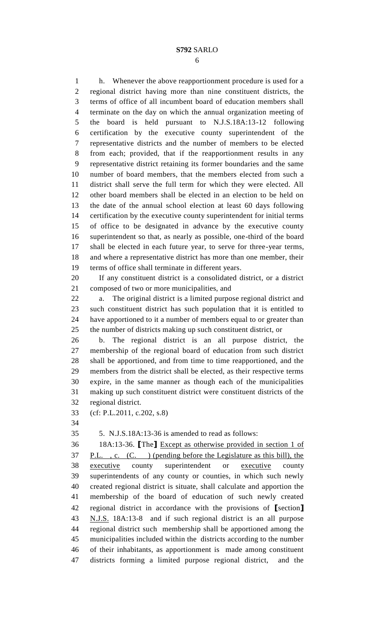h. Whenever the above reapportionment procedure is used for a regional district having more than nine constituent districts, the terms of office of all incumbent board of education members shall terminate on the day on which the annual organization meeting of the board is held pursuant to N.J.S.18A:13-12 following certification by the executive county superintendent of the representative districts and the number of members to be elected from each; provided, that if the reapportionment results in any representative district retaining its former boundaries and the same number of board members, that the members elected from such a district shall serve the full term for which they were elected. All other board members shall be elected in an election to be held on the date of the annual school election at least 60 days following certification by the executive county superintendent for initial terms of office to be designated in advance by the executive county superintendent so that, as nearly as possible, one-third of the board shall be elected in each future year, to serve for three-year terms, and where a representative district has more than one member, their terms of office shall terminate in different years.

 If any constituent district is a consolidated district, or a district composed of two or more municipalities, and

 a. The original district is a limited purpose regional district and such constituent district has such population that it is entitled to have apportioned to it a number of members equal to or greater than the number of districts making up such constituent district, or

 b. The regional district is an all purpose district, the membership of the regional board of education from such district shall be apportioned, and from time to time reapportioned, and the members from the district shall be elected, as their respective terms expire, in the same manner as though each of the municipalities making up such constituent district were constituent districts of the regional district.

(cf: P.L.2011, c.202, s.8)

5. N.J.S.18A:13-36 is amended to read as follows:

 18A:13-36. **[**The**]** Except as otherwise provided in section 1 of P.L. , c. (C. ) (pending before the Legislature as this bill), the executive county superintendent or executive county superintendents of any county or counties, in which such newly created regional district is situate, shall calculate and apportion the membership of the board of education of such newly created regional district in accordance with the provisions of **[**section**]** N.J.S. 18A:13-8 and if such regional district is an all purpose regional district such membership shall be apportioned among the municipalities included within the districts according to the number of their inhabitants, as apportionment is made among constituent districts forming a limited purpose regional district, and the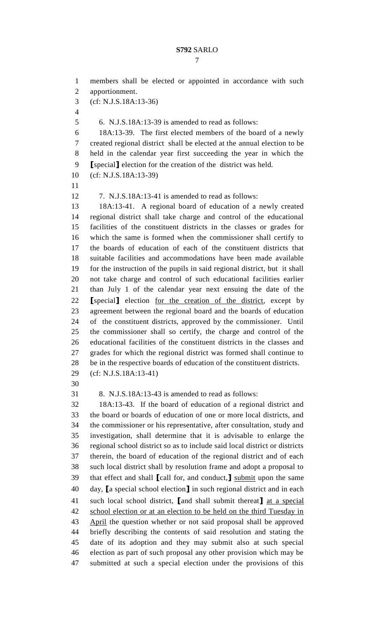members shall be elected or appointed in accordance with such apportionment. (cf: N.J.S.18A:13-36) 6. N.J.S.18A:13-39 is amended to read as follows: 18A:13-39. The first elected members of the board of a newly created regional district shall be elected at the annual election to be held in the calendar year first succeeding the year in which the **[**special**]** election for the creation of the district was held. (cf: N.J.S.18A:13-39) 7. N.J.S.18A:13-41 is amended to read as follows: 18A:13-41. A regional board of education of a newly created regional district shall take charge and control of the educational facilities of the constituent districts in the classes or grades for which the same is formed when the commissioner shall certify to the boards of education of each of the constituent districts that suitable facilities and accommodations have been made available for the instruction of the pupils in said regional district, but it shall not take charge and control of such educational facilities earlier than July 1 of the calendar year next ensuing the date of the **[**special**]** election for the creation of the district, except by agreement between the regional board and the boards of education of the constituent districts, approved by the commissioner. Until the commissioner shall so certify, the charge and control of the educational facilities of the constituent districts in the classes and grades for which the regional district was formed shall continue to be in the respective boards of education of the constituent districts. (cf: N.J.S.18A:13-41) 8. N.J.S.18A:13-43 is amended to read as follows: 18A:13-43. If the board of education of a regional district and the board or boards of education of one or more local districts, and the commissioner or his representative, after consultation, study and investigation, shall determine that it is advisable to enlarge the regional school district so as to include said local district or districts therein, the board of education of the regional district and of each such local district shall by resolution frame and adopt a proposal to that effect and shall **[**call for, and conduct,**]** submit upon the same day, **[**a special school election**]** in such regional district and in each such local school district, **[**and shall submit thereat**]** at a special school election or at an election to be held on the third Tuesday in 43 April the question whether or not said proposal shall be approved briefly describing the contents of said resolution and stating the date of its adoption and they may submit also at such special election as part of such proposal any other provision which may be submitted at such a special election under the provisions of this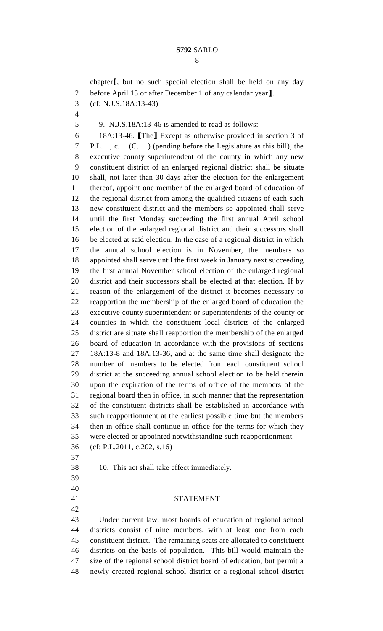chapter**[**, but no such special election shall be held on any day before April 15 or after December 1 of any calendar year**]**. (cf: N.J.S.18A:13-43) 9. N.J.S.18A:13-46 is amended to read as follows: 18A:13-46. **[**The**]** Except as otherwise provided in section 3 of P.L. , c. (C. ) (pending before the Legislature as this bill), the executive county superintendent of the county in which any new constituent district of an enlarged regional district shall be situate shall, not later than 30 days after the election for the enlargement thereof, appoint one member of the enlarged board of education of the regional district from among the qualified citizens of each such new constituent district and the members so appointed shall serve until the first Monday succeeding the first annual April school election of the enlarged regional district and their successors shall be elected at said election. In the case of a regional district in which the annual school election is in November, the members so appointed shall serve until the first week in January next succeeding the first annual November school election of the enlarged regional district and their successors shall be elected at that election. If by reason of the enlargement of the district it becomes necessary to reapportion the membership of the enlarged board of education the executive county superintendent or superintendents of the county or counties in which the constituent local districts of the enlarged district are situate shall reapportion the membership of the enlarged board of education in accordance with the provisions of sections 18A:13-8 and 18A:13-36, and at the same time shall designate the number of members to be elected from each constituent school district at the succeeding annual school election to be held therein upon the expiration of the terms of office of the members of the regional board then in office, in such manner that the representation of the constituent districts shall be established in accordance with such reapportionment at the earliest possible time but the members then in office shall continue in office for the terms for which they were elected or appointed notwithstanding such reapportionment. (cf: P.L.2011, c.202, s.16) 10. This act shall take effect immediately. STATEMENT Under current law, most boards of education of regional school districts consist of nine members, with at least one from each constituent district. The remaining seats are allocated to constituent districts on the basis of population. This bill would maintain the size of the regional school district board of education, but permit a newly created regional school district or a regional school district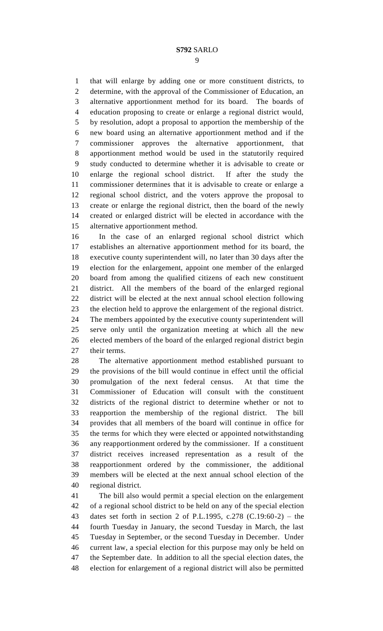that will enlarge by adding one or more constituent districts, to determine, with the approval of the Commissioner of Education, an alternative apportionment method for its board. The boards of education proposing to create or enlarge a regional district would, by resolution, adopt a proposal to apportion the membership of the new board using an alternative apportionment method and if the commissioner approves the alternative apportionment, that apportionment method would be used in the statutorily required study conducted to determine whether it is advisable to create or enlarge the regional school district. If after the study the commissioner determines that it is advisable to create or enlarge a regional school district, and the voters approve the proposal to create or enlarge the regional district, then the board of the newly created or enlarged district will be elected in accordance with the alternative apportionment method.

 In the case of an enlarged regional school district which establishes an alternative apportionment method for its board, the executive county superintendent will, no later than 30 days after the election for the enlargement, appoint one member of the enlarged board from among the qualified citizens of each new constituent district. All the members of the board of the enlarged regional district will be elected at the next annual school election following the election held to approve the enlargement of the regional district. The members appointed by the executive county superintendent will serve only until the organization meeting at which all the new elected members of the board of the enlarged regional district begin their terms.

 The alternative apportionment method established pursuant to the provisions of the bill would continue in effect until the official promulgation of the next federal census. At that time the Commissioner of Education will consult with the constituent districts of the regional district to determine whether or not to reapportion the membership of the regional district. The bill provides that all members of the board will continue in office for the terms for which they were elected or appointed notwithstanding any reapportionment ordered by the commissioner. If a constituent district receives increased representation as a result of the reapportionment ordered by the commissioner, the additional members will be elected at the next annual school election of the regional district.

 The bill also would permit a special election on the enlargement of a regional school district to be held on any of the special election dates set forth in section 2 of P.L.1995, c.278 (C.19:60-2) – the fourth Tuesday in January, the second Tuesday in March, the last Tuesday in September, or the second Tuesday in December. Under current law, a special election for this purpose may only be held on the September date. In addition to all the special election dates, the election for enlargement of a regional district will also be permitted